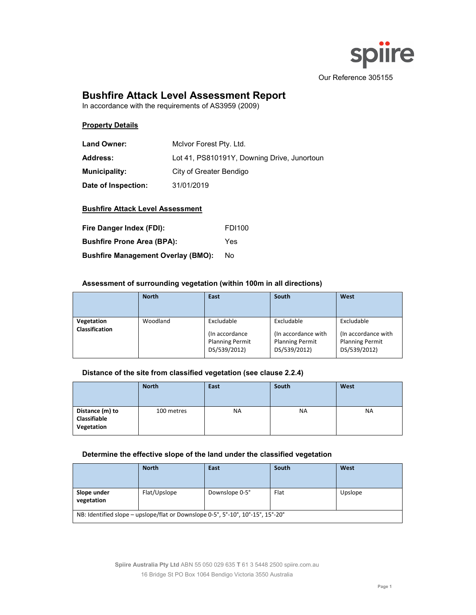

# **Bushfire Attack Level Assessment Report**

In accordance with the requirements of AS3959 (2009)

# **Property Details**

| <b>Land Owner:</b>   | Molvor Forest Pty. Ltd.                     |
|----------------------|---------------------------------------------|
| <b>Address:</b>      | Lot 41, PS810191Y, Downing Drive, Junortoun |
| <b>Municipality:</b> | City of Greater Bendigo                     |
| Date of Inspection:  | 31/01/2019                                  |

### **Bushfire Attack Level Assessment**

| Fire Danger Index (FDI):                  | <b>FDI100</b> |
|-------------------------------------------|---------------|
| <b>Bushfire Prone Area (BPA):</b>         | Yes           |
| <b>Bushfire Management Overlay (BMO):</b> | No.           |

### **Assessment of surrounding vegetation (within 100m in all directions)**

|                              | <b>North</b> | South<br>East                                                           |                                                                             | West                                                                        |
|------------------------------|--------------|-------------------------------------------------------------------------|-----------------------------------------------------------------------------|-----------------------------------------------------------------------------|
| Vegetation<br>Classification | Woodland     | Excludable<br>(In accordance)<br><b>Planning Permit</b><br>DS/539/2012) | Excludable<br>(In accordance with<br><b>Planning Permit</b><br>DS/539/2012) | Excludable<br>(In accordance with<br><b>Planning Permit</b><br>DS/539/2012) |

# **Distance of the site from classified vegetation (see clause 2.2.4)**

|                                                      | <b>North</b> | East | South     | West |
|------------------------------------------------------|--------------|------|-----------|------|
| Distance (m) to<br><b>Classifiable</b><br>Vegetation | 100 metres   | ΝA   | <b>NA</b> | NA.  |

#### **Determine the effective slope of the land under the classified vegetation**

|                                                                                 | <b>North</b>                   | East | South           | West |  |  |  |
|---------------------------------------------------------------------------------|--------------------------------|------|-----------------|------|--|--|--|
|                                                                                 |                                |      |                 |      |  |  |  |
| Slope under<br>vegetation                                                       | Flat/Upslope<br>Downslope 0-5° |      | Flat<br>Upslope |      |  |  |  |
| NB: Identified slope – upslope/flat or Downslope 0-5°, 5°-10°, 10°-15°, 15°-20° |                                |      |                 |      |  |  |  |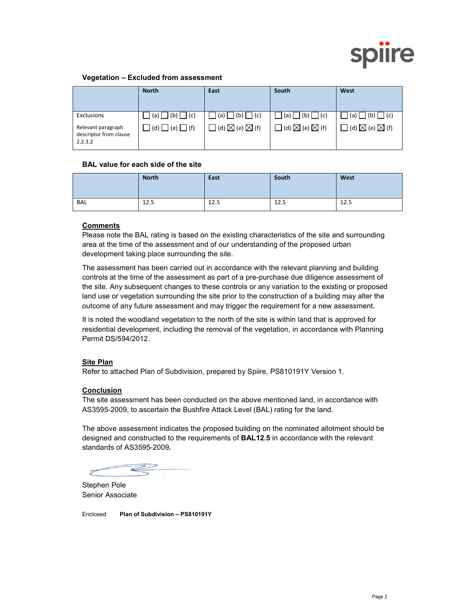

### **Vegetation – Excluded from assessment**

|                                                         | <b>North</b>      | East                                          | South                                      | West                                       |
|---------------------------------------------------------|-------------------|-----------------------------------------------|--------------------------------------------|--------------------------------------------|
| Exclusions                                              | $(a)$ $(b)$ $(c)$ | (b)<br> (c) <br>(a) l                         | $ (b) $ $ (c) $<br>(a)                     | (b) I<br> (c) <br>(a)                      |
| Relevant paragraph<br>descriptor from clause<br>2.2.3.2 | $(d)$ $(e)$ $(f)$ | $\exists$ (d) $\boxtimes$ (e) $\boxtimes$ (f) | $\Box$ (d) $\boxtimes$ (e) $\boxtimes$ (f) | $\Box$ (d) $\boxtimes$ (e) $\boxtimes$ (f) |

#### **BAL value for each side of the site**

|     | <b>North</b> | East | South | West |
|-----|--------------|------|-------|------|
| BAL | 12.5         | 12.5 | 12.5  | 12.5 |

# **Comments**

Please note the BAL rating is based on the existing characteristics of the site and surrounding area at the time of the assessment and of our understanding of the proposed urban development taking place surrounding the site.

The assessment has been carried out in accordance with the relevant planning and building controls at the time of the assessment as part of a pre-purchase due diligence assessment of the site. Any subsequent changes to these controls or any variation to the existing or proposed land use or vegetation surrounding the site prior to the construction of a building may alter the outcome of any future assessment and may trigger the requirement for a new assessment.

It is noted the woodland vegetation to the north of the site is within land that is approved for residential development, including the removal of the vegetation, in accordance with Planning Permit DS/594/2012.

#### **Site Plan**

Refer to attached Plan of Subdivision, prepared by Spiire, PS810191Y Version 1.

#### **Conclusion**

The site assessment has been conducted on the above mentioned land, in accordance with AS3595-2009, to ascertain the Bushfire Attack Level (BAL) rating for the land.

The above assessment indicates the proposed building on the nominated allotment should be designed and constructed to the requirements of **BAL12.5** in accordance with the relevant standards of AS3595-2009**.**

Z

Stephen Pole Senior Associate

Enclosed **Plan of Subdivision – PS810191Y**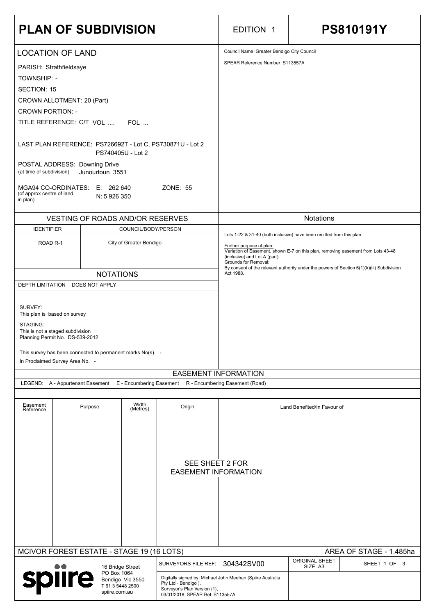| <b>PLAN OF SUBDIVISION</b>                                                                                                                                                                                                                                                                                                                                                                                                                                        |                  |                   |                        | <b>EDITION 1</b>                                                                                                                                                                                                                              | <b>PS810191Y</b>            |  |  |
|-------------------------------------------------------------------------------------------------------------------------------------------------------------------------------------------------------------------------------------------------------------------------------------------------------------------------------------------------------------------------------------------------------------------------------------------------------------------|------------------|-------------------|------------------------|-----------------------------------------------------------------------------------------------------------------------------------------------------------------------------------------------------------------------------------------------|-----------------------------|--|--|
|                                                                                                                                                                                                                                                                                                                                                                                                                                                                   |                  |                   |                        | Council Name: Greater Bendigo City Council                                                                                                                                                                                                    |                             |  |  |
| <b>LOCATION OF LAND</b><br>PARISH: Strathfieldsaye<br><b>TOWNSHIP: -</b><br><b>SECTION: 15</b><br>CROWN ALLOTMENT: 20 (Part)<br><b>CROWN PORTION: -</b><br>TITLE REFERENCE: C/T VOL  FOL<br>LAST PLAN REFERENCE: PS726692T - Lot C, PS730871U - Lot 2<br>PS740405U - Lot 2<br>POSTAL ADDRESS: Downing Drive<br>(at time of subdivision)<br>Junourtoun 3551<br>MGA94 CO-ORDINATES: E: 262 640<br>ZONE: 55<br>(of approx centre of land<br>N: 5 926 350<br>in plan) |                  |                   |                        | SPEAR Reference Number: S113557A                                                                                                                                                                                                              |                             |  |  |
| <b>VESTING OF ROADS AND/OR RESERVES</b>                                                                                                                                                                                                                                                                                                                                                                                                                           |                  |                   |                        |                                                                                                                                                                                                                                               | <b>Notations</b>            |  |  |
| <b>IDENTIFIER</b><br>COUNCIL/BODY/PERSON                                                                                                                                                                                                                                                                                                                                                                                                                          |                  |                   |                        |                                                                                                                                                                                                                                               |                             |  |  |
| City of Greater Bendigo<br>ROAD <sub>R-1</sub>                                                                                                                                                                                                                                                                                                                                                                                                                    |                  |                   |                        | Lots 1-22 & 31-40 (both inclusive) have been omitted from this plan.<br>Further purpose of plan:<br>Variation of Easement, shown E-7 on this plan, removing easement from Lots 43-48<br>(inclusive) and Lot A (part).<br>Grounds for Removal: |                             |  |  |
|                                                                                                                                                                                                                                                                                                                                                                                                                                                                   | <b>NOTATIONS</b> |                   |                        | By consent of the relevant authority under the powers of Section 6(1)(k)(iii) Subdivision<br>Act 1988.                                                                                                                                        |                             |  |  |
| DEPTH LIMITATION DOES NOT APPLY                                                                                                                                                                                                                                                                                                                                                                                                                                   |                  |                   |                        |                                                                                                                                                                                                                                               |                             |  |  |
| SURVEY:<br>This plan is based on survey<br>STAGING:<br>This is not a staged subdivision<br>Planning Permit No. DS-539-2012<br>This survey has been connected to permanent marks No(s). -<br>In Proclaimed Survey Area No. -                                                                                                                                                                                                                                       |                  |                   |                        |                                                                                                                                                                                                                                               |                             |  |  |
|                                                                                                                                                                                                                                                                                                                                                                                                                                                                   |                  |                   |                        | <b>EASEMENT INFORMATION</b>                                                                                                                                                                                                                   |                             |  |  |
| LEGEND: A - Appurtenant Easement E - Encumbering Easement R - Encumbering Easement (Road)                                                                                                                                                                                                                                                                                                                                                                         |                  |                   |                        |                                                                                                                                                                                                                                               |                             |  |  |
| Easement<br>Reference                                                                                                                                                                                                                                                                                                                                                                                                                                             | Purpose          | Width<br>(Metres) | Origin                 |                                                                                                                                                                                                                                               | Land Benefited/In Favour of |  |  |
|                                                                                                                                                                                                                                                                                                                                                                                                                                                                   |                  |                   | <b>SEE SHEET 2 FOR</b> |                                                                                                                                                                                                                                               |                             |  |  |

|                                                                                |                  | <u>ULL UILLEI EI UIV</u><br><b>EASEMENT INFORMATION</b> |                                                                                               |                                   |                         |  |
|--------------------------------------------------------------------------------|------------------|---------------------------------------------------------|-----------------------------------------------------------------------------------------------|-----------------------------------|-------------------------|--|
|                                                                                |                  |                                                         |                                                                                               |                                   |                         |  |
|                                                                                |                  |                                                         |                                                                                               |                                   |                         |  |
|                                                                                |                  |                                                         |                                                                                               |                                   |                         |  |
|                                                                                |                  |                                                         |                                                                                               |                                   |                         |  |
|                                                                                |                  |                                                         |                                                                                               |                                   |                         |  |
| MCIVOR FOREST ESTATE - STAGE 19 (16 LOTS)                                      |                  |                                                         |                                                                                               |                                   | AREA OF STAGE - 1.485ha |  |
| $\bullet\bullet$                                                               | 16 Bridge Street | <b>SURVEYORS FILE REF:</b>                              | 304342SV00                                                                                    | <b>ORIGINAL SHEET</b><br>SIZE: A3 | SHEET 1 OF 3            |  |
| PO Box 1064<br>spiire<br>Bendigo Vic 3550<br>T 61 3 5448 2500<br>spiire.com.au |                  | Pty Ltd - Bendigo),<br>Surveyor's Plan Version (1),     | Digitally signed by: Michael John Meehan (Spiire Australia<br>03/01/2018, SPEAR Ref: S113557A |                                   |                         |  |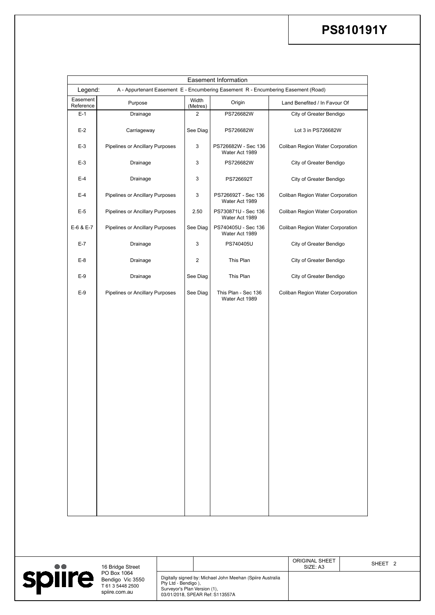|                     |                                                                                              |                            | <b>Easement Information</b>           |                                  |
|---------------------|----------------------------------------------------------------------------------------------|----------------------------|---------------------------------------|----------------------------------|
| Legend:<br>Easement | A - Appurtenant Easement E - Encumbering Easement R - Encumbering Easement (Road)<br>Purpose | Width                      | Origin                                | Land Benefited / In Favour Of    |
| Reference<br>$E-1$  | Drainage                                                                                     | (Metres)<br>$\overline{2}$ | PS726682W                             | City of Greater Bendigo          |
| $E-2$               | Carriageway                                                                                  | See Diag                   | PS726682W                             | Lot 3 in PS726682W               |
| $E-3$               | <b>Pipelines or Ancillary Purposes</b>                                                       | $\mathbf{3}$               | PS726682W - Sec 136<br>Water Act 1989 | Coliban Region Water Corporation |
| $E-3$               | Drainage                                                                                     | 3                          | PS726682W                             | City of Greater Bendigo          |
| $E-4$               | Drainage                                                                                     | 3                          | PS726692T                             | City of Greater Bendigo          |
| $E-4$               | <b>Pipelines or Ancillary Purposes</b>                                                       | $\mathbf{3}$               | PS726692T - Sec 136<br>Water Act 1989 | Coliban Region Water Corporation |
| $E-5$               | <b>Pipelines or Ancillary Purposes</b>                                                       | 2.50                       | PS730871U - Sec 136<br>Water Act 1989 | Coliban Region Water Corporation |
| E-6 & E-7           | <b>Pipelines or Ancillary Purposes</b>                                                       | See Diag                   | PS740405U - Sec 136<br>Water Act 1989 | Coliban Region Water Corporation |
| $E-7$               | Drainage                                                                                     | 3                          | PS740405U                             | City of Greater Bendigo          |
| $E-8$               | Drainage                                                                                     | $\overline{2}$             | This Plan                             | City of Greater Bendigo          |
| $E-9$               | Drainage                                                                                     | See Diag                   | This Plan                             | City of Greater Bendigo          |
| $E-9$               | <b>Pipelines or Ancillary Purposes</b>                                                       | See Diag                   | This Plan - Sec 136<br>Water Act 1989 | Coliban Region Water Corporation |
|                     |                                                                                              |                            |                                       |                                  |
|                     |                                                                                              |                            |                                       |                                  |
|                     |                                                                                              |                            |                                       |                                  |
|                     |                                                                                              |                            |                                       |                                  |
|                     |                                                                                              |                            |                                       |                                  |
|                     |                                                                                              |                            |                                       |                                  |
|                     |                                                                                              |                            |                                       |                                  |
|                     |                                                                                              |                            |                                       |                                  |
|                     |                                                                                              |                            |                                       |                                  |
|                     |                                                                                              |                            |                                       |                                  |
|                     |                                                                                              |                            |                                       |                                  |

# **PS810191Y**

| $\bullet\bullet$ |  | 16 Bridge Street                                                     |                                                                                                                                                      |  |  | <b>ORIGINAL SHEET</b><br>SIZE: A3 | SHEET <sub>2</sub> |
|------------------|--|----------------------------------------------------------------------|------------------------------------------------------------------------------------------------------------------------------------------------------|--|--|-----------------------------------|--------------------|
| spiire           |  | PO Box 1064<br>Bendigo Vic 3550<br>T 61 3 5448 2500<br>spiire.com.au | Digitally signed by: Michael John Meehan (Spiire Australia<br>Pty Ltd - Bendigo),<br>Surveyor's Plan Version (1),<br>03/01/2018, SPEAR Ref: S113557A |  |  |                                   |                    |